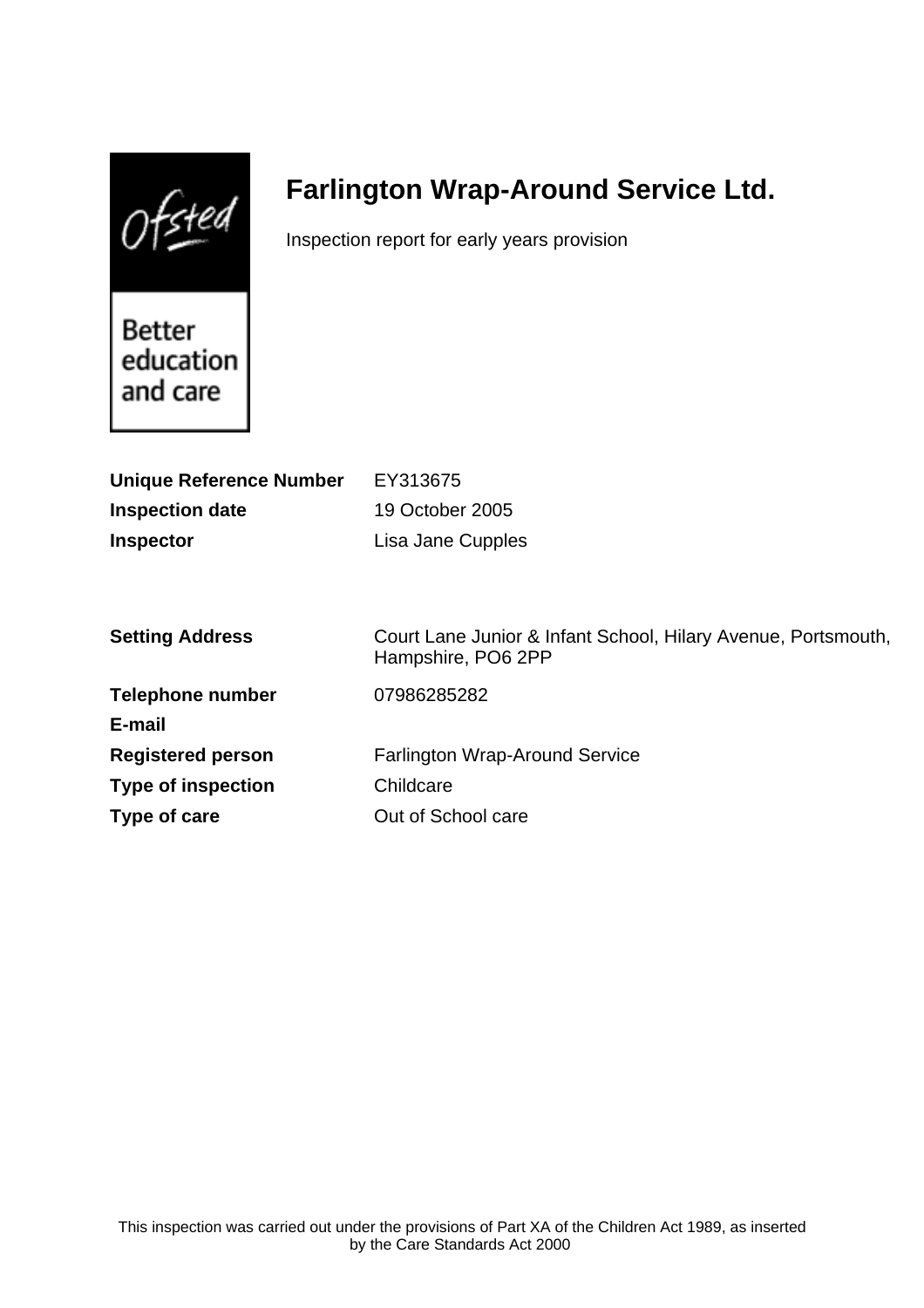$0$ fsted

# **Farlington Wrap-Around Service Ltd.**

Inspection report for early years provision

Better education and care

| <b>Unique Reference Number</b> | EY313675                                                                            |
|--------------------------------|-------------------------------------------------------------------------------------|
| <b>Inspection date</b>         | 19 October 2005                                                                     |
| <b>Inspector</b>               | Lisa Jane Cupples                                                                   |
|                                |                                                                                     |
|                                |                                                                                     |
| <b>Setting Address</b>         | Court Lane Junior & Infant School, Hilary Avenue, Portsmouth,<br>Hampshire, PO6 2PP |
| <b>Telephone number</b>        | 07986285282                                                                         |
| E-mail                         |                                                                                     |
| <b>Registered person</b>       | <b>Farlington Wrap-Around Service</b>                                               |
| <b>Type of inspection</b>      | Childcare                                                                           |
| Type of care                   | Out of School care                                                                  |
|                                |                                                                                     |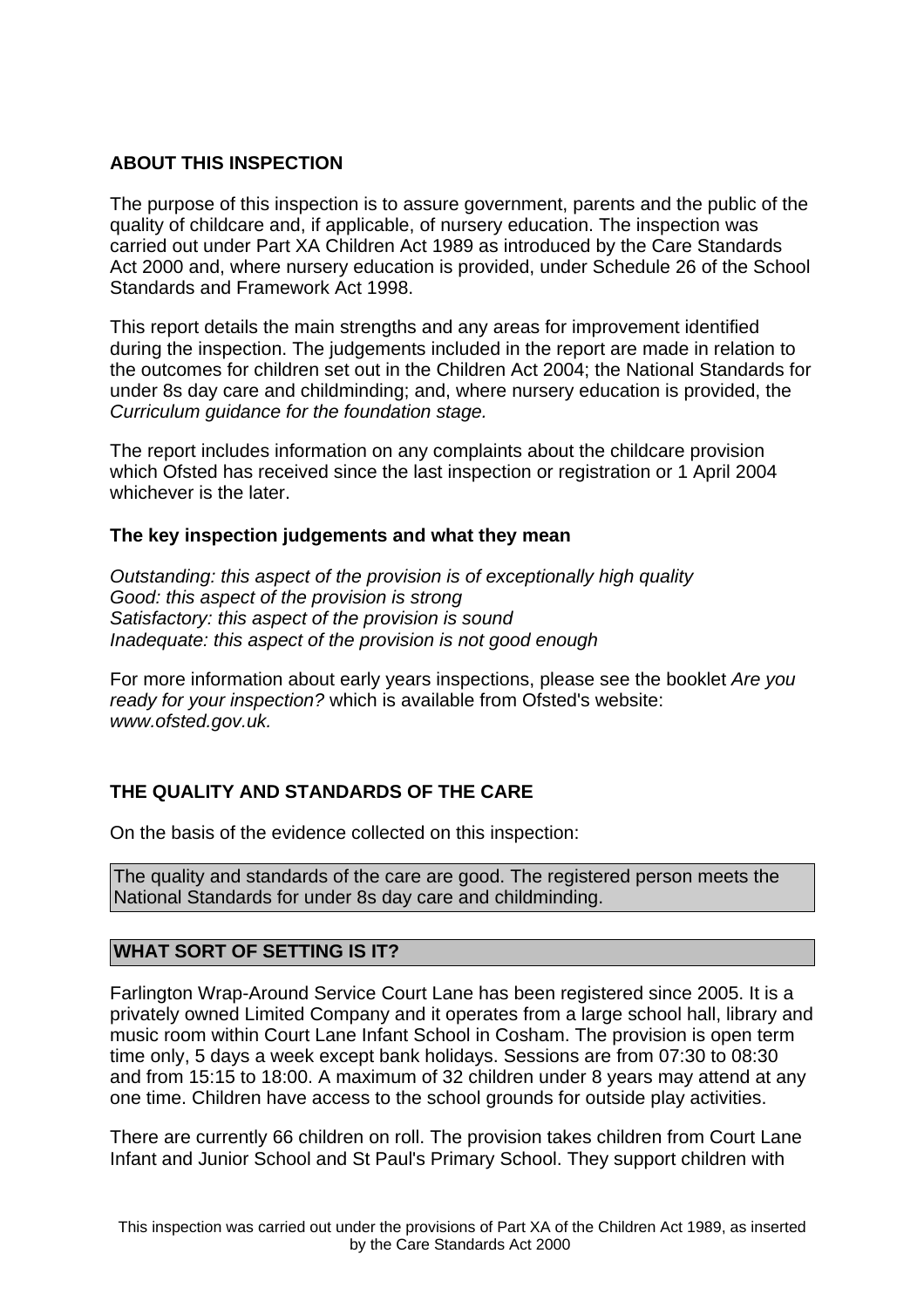## **ABOUT THIS INSPECTION**

The purpose of this inspection is to assure government, parents and the public of the quality of childcare and, if applicable, of nursery education. The inspection was carried out under Part XA Children Act 1989 as introduced by the Care Standards Act 2000 and, where nursery education is provided, under Schedule 26 of the School Standards and Framework Act 1998.

This report details the main strengths and any areas for improvement identified during the inspection. The judgements included in the report are made in relation to the outcomes for children set out in the Children Act 2004; the National Standards for under 8s day care and childminding; and, where nursery education is provided, the Curriculum guidance for the foundation stage.

The report includes information on any complaints about the childcare provision which Ofsted has received since the last inspection or registration or 1 April 2004 whichever is the later.

## **The key inspection judgements and what they mean**

Outstanding: this aspect of the provision is of exceptionally high quality Good: this aspect of the provision is strong Satisfactory: this aspect of the provision is sound Inadequate: this aspect of the provision is not good enough

For more information about early years inspections, please see the booklet Are you ready for your inspection? which is available from Ofsted's website: www.ofsted.gov.uk.

## **THE QUALITY AND STANDARDS OF THE CARE**

On the basis of the evidence collected on this inspection:

The quality and standards of the care are good. The registered person meets the National Standards for under 8s day care and childminding.

## **WHAT SORT OF SETTING IS IT?**

Farlington Wrap-Around Service Court Lane has been registered since 2005. It is a privately owned Limited Company and it operates from a large school hall, library and music room within Court Lane Infant School in Cosham. The provision is open term time only, 5 days a week except bank holidays. Sessions are from 07:30 to 08:30 and from 15:15 to 18:00. A maximum of 32 children under 8 years may attend at any one time. Children have access to the school grounds for outside play activities.

There are currently 66 children on roll. The provision takes children from Court Lane Infant and Junior School and St Paul's Primary School. They support children with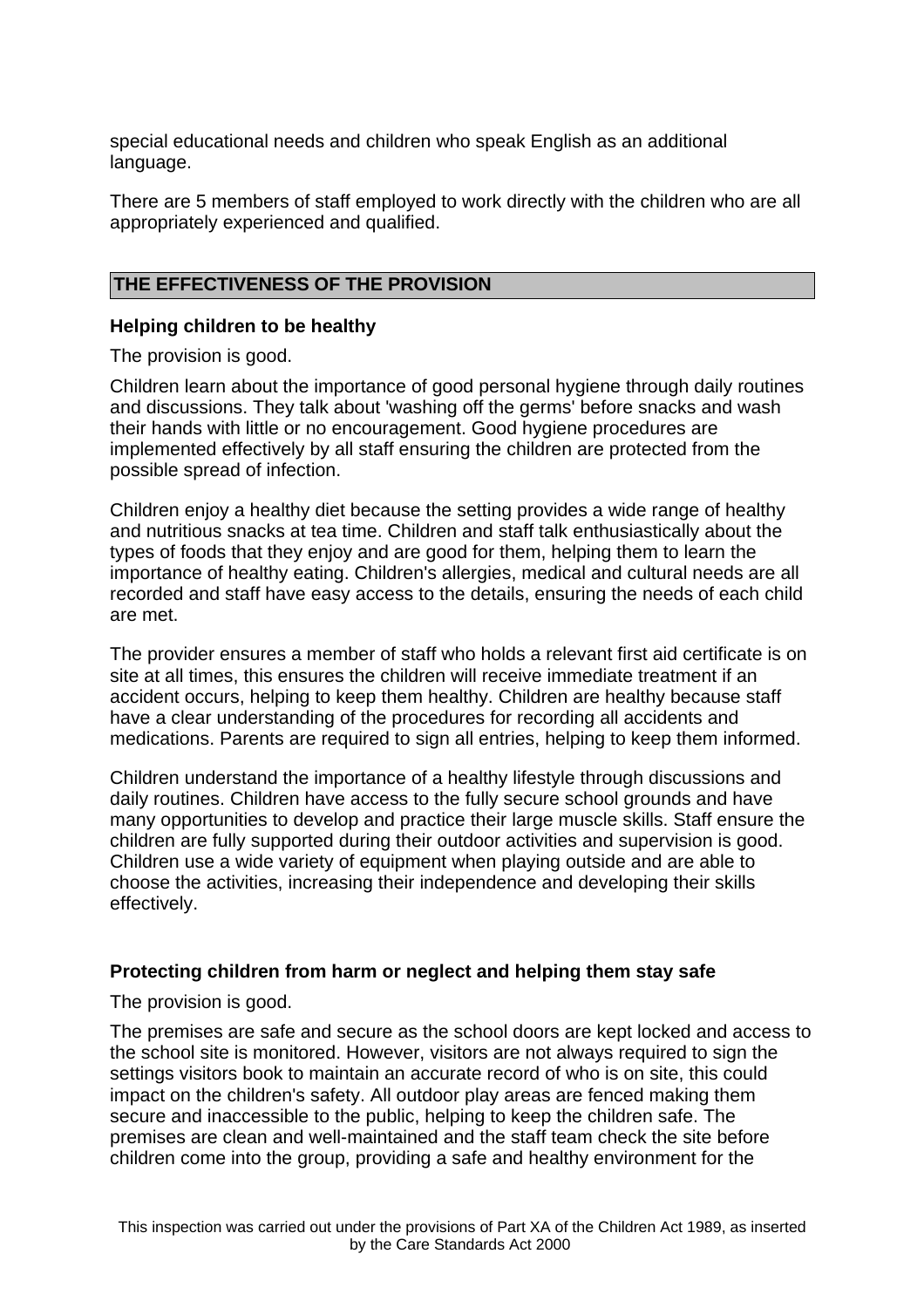special educational needs and children who speak English as an additional language.

There are 5 members of staff employed to work directly with the children who are all appropriately experienced and qualified.

## **THE EFFECTIVENESS OF THE PROVISION**

## **Helping children to be healthy**

The provision is good.

Children learn about the importance of good personal hygiene through daily routines and discussions. They talk about 'washing off the germs' before snacks and wash their hands with little or no encouragement. Good hygiene procedures are implemented effectively by all staff ensuring the children are protected from the possible spread of infection.

Children enjoy a healthy diet because the setting provides a wide range of healthy and nutritious snacks at tea time. Children and staff talk enthusiastically about the types of foods that they enjoy and are good for them, helping them to learn the importance of healthy eating. Children's allergies, medical and cultural needs are all recorded and staff have easy access to the details, ensuring the needs of each child are met.

The provider ensures a member of staff who holds a relevant first aid certificate is on site at all times, this ensures the children will receive immediate treatment if an accident occurs, helping to keep them healthy. Children are healthy because staff have a clear understanding of the procedures for recording all accidents and medications. Parents are required to sign all entries, helping to keep them informed.

Children understand the importance of a healthy lifestyle through discussions and daily routines. Children have access to the fully secure school grounds and have many opportunities to develop and practice their large muscle skills. Staff ensure the children are fully supported during their outdoor activities and supervision is good. Children use a wide variety of equipment when playing outside and are able to choose the activities, increasing their independence and developing their skills effectively.

## **Protecting children from harm or neglect and helping them stay safe**

The provision is good.

The premises are safe and secure as the school doors are kept locked and access to the school site is monitored. However, visitors are not always required to sign the settings visitors book to maintain an accurate record of who is on site, this could impact on the children's safety. All outdoor play areas are fenced making them secure and inaccessible to the public, helping to keep the children safe. The premises are clean and well-maintained and the staff team check the site before children come into the group, providing a safe and healthy environment for the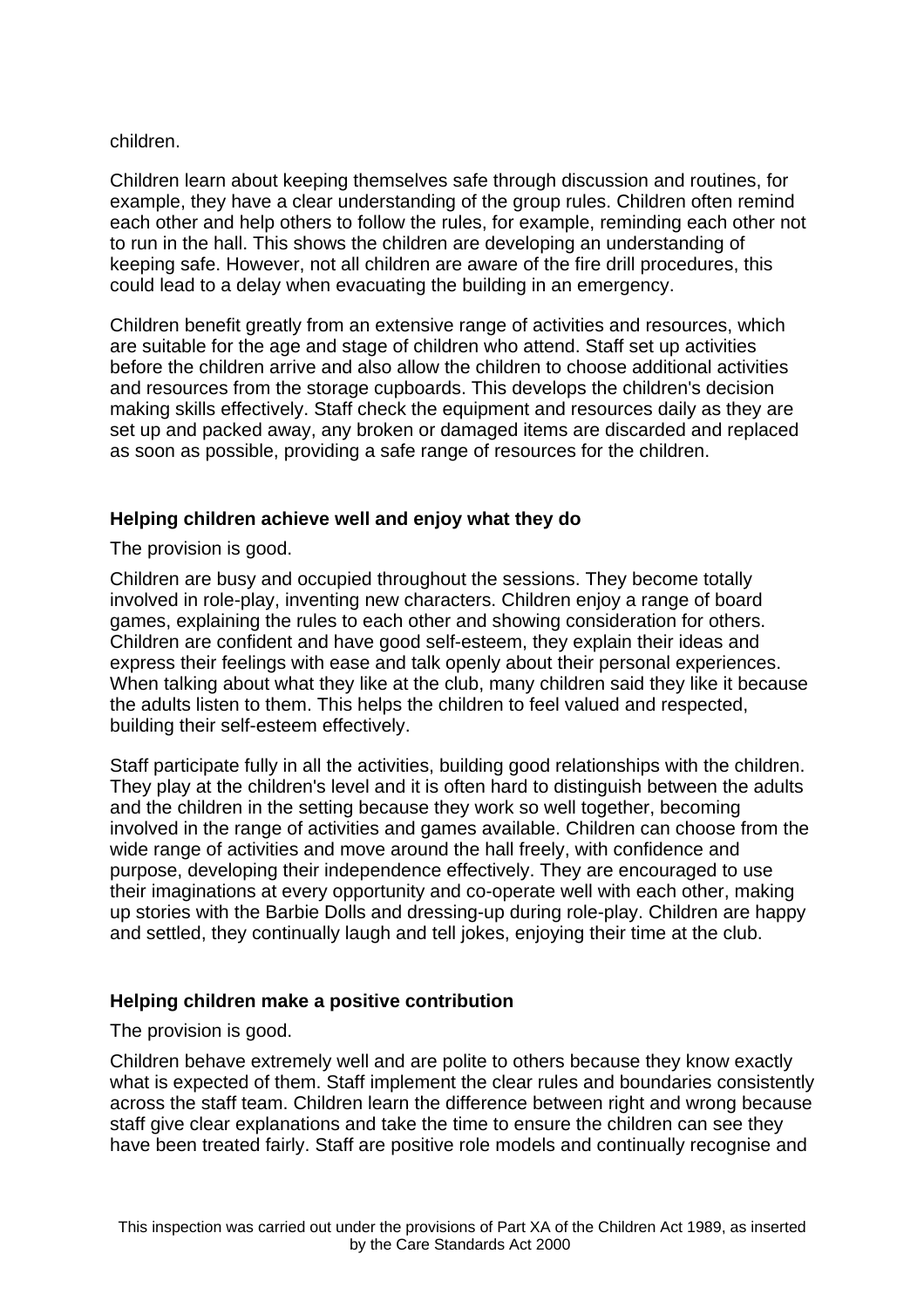## children.

Children learn about keeping themselves safe through discussion and routines, for example, they have a clear understanding of the group rules. Children often remind each other and help others to follow the rules, for example, reminding each other not to run in the hall. This shows the children are developing an understanding of keeping safe. However, not all children are aware of the fire drill procedures, this could lead to a delay when evacuating the building in an emergency.

Children benefit greatly from an extensive range of activities and resources, which are suitable for the age and stage of children who attend. Staff set up activities before the children arrive and also allow the children to choose additional activities and resources from the storage cupboards. This develops the children's decision making skills effectively. Staff check the equipment and resources daily as they are set up and packed away, any broken or damaged items are discarded and replaced as soon as possible, providing a safe range of resources for the children.

## **Helping children achieve well and enjoy what they do**

The provision is good.

Children are busy and occupied throughout the sessions. They become totally involved in role-play, inventing new characters. Children enjoy a range of board games, explaining the rules to each other and showing consideration for others. Children are confident and have good self-esteem, they explain their ideas and express their feelings with ease and talk openly about their personal experiences. When talking about what they like at the club, many children said they like it because the adults listen to them. This helps the children to feel valued and respected, building their self-esteem effectively.

Staff participate fully in all the activities, building good relationships with the children. They play at the children's level and it is often hard to distinguish between the adults and the children in the setting because they work so well together, becoming involved in the range of activities and games available. Children can choose from the wide range of activities and move around the hall freely, with confidence and purpose, developing their independence effectively. They are encouraged to use their imaginations at every opportunity and co-operate well with each other, making up stories with the Barbie Dolls and dressing-up during role-play. Children are happy and settled, they continually laugh and tell jokes, enjoying their time at the club.

## **Helping children make a positive contribution**

## The provision is good.

Children behave extremely well and are polite to others because they know exactly what is expected of them. Staff implement the clear rules and boundaries consistently across the staff team. Children learn the difference between right and wrong because staff give clear explanations and take the time to ensure the children can see they have been treated fairly. Staff are positive role models and continually recognise and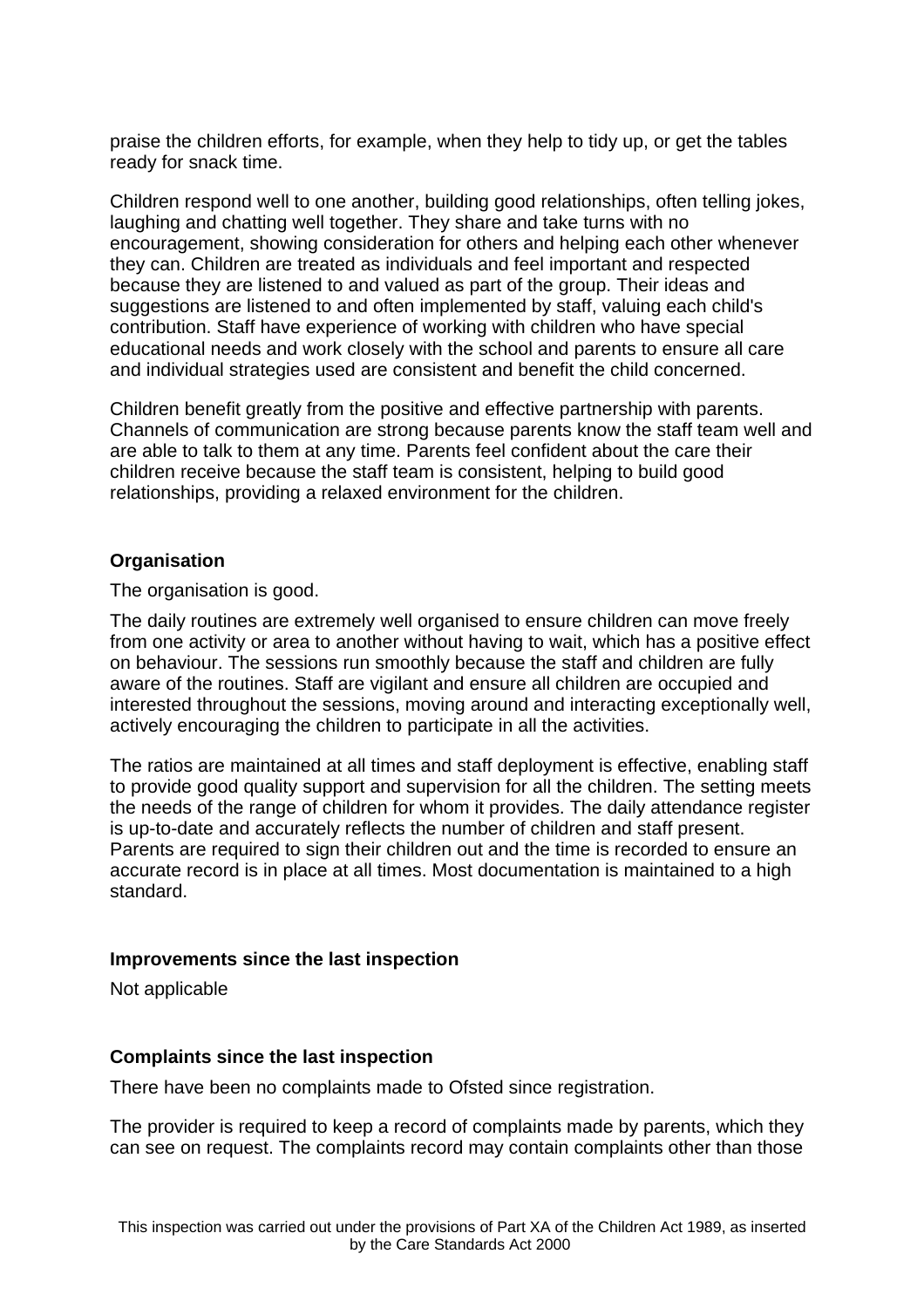praise the children efforts, for example, when they help to tidy up, or get the tables ready for snack time.

Children respond well to one another, building good relationships, often telling jokes, laughing and chatting well together. They share and take turns with no encouragement, showing consideration for others and helping each other whenever they can. Children are treated as individuals and feel important and respected because they are listened to and valued as part of the group. Their ideas and suggestions are listened to and often implemented by staff, valuing each child's contribution. Staff have experience of working with children who have special educational needs and work closely with the school and parents to ensure all care and individual strategies used are consistent and benefit the child concerned.

Children benefit greatly from the positive and effective partnership with parents. Channels of communication are strong because parents know the staff team well and are able to talk to them at any time. Parents feel confident about the care their children receive because the staff team is consistent, helping to build good relationships, providing a relaxed environment for the children.

## **Organisation**

The organisation is good.

The daily routines are extremely well organised to ensure children can move freely from one activity or area to another without having to wait, which has a positive effect on behaviour. The sessions run smoothly because the staff and children are fully aware of the routines. Staff are vigilant and ensure all children are occupied and interested throughout the sessions, moving around and interacting exceptionally well, actively encouraging the children to participate in all the activities.

The ratios are maintained at all times and staff deployment is effective, enabling staff to provide good quality support and supervision for all the children. The setting meets the needs of the range of children for whom it provides. The daily attendance register is up-to-date and accurately reflects the number of children and staff present. Parents are required to sign their children out and the time is recorded to ensure an accurate record is in place at all times. Most documentation is maintained to a high standard.

## **Improvements since the last inspection**

Not applicable

## **Complaints since the last inspection**

There have been no complaints made to Ofsted since registration.

The provider is required to keep a record of complaints made by parents, which they can see on request. The complaints record may contain complaints other than those